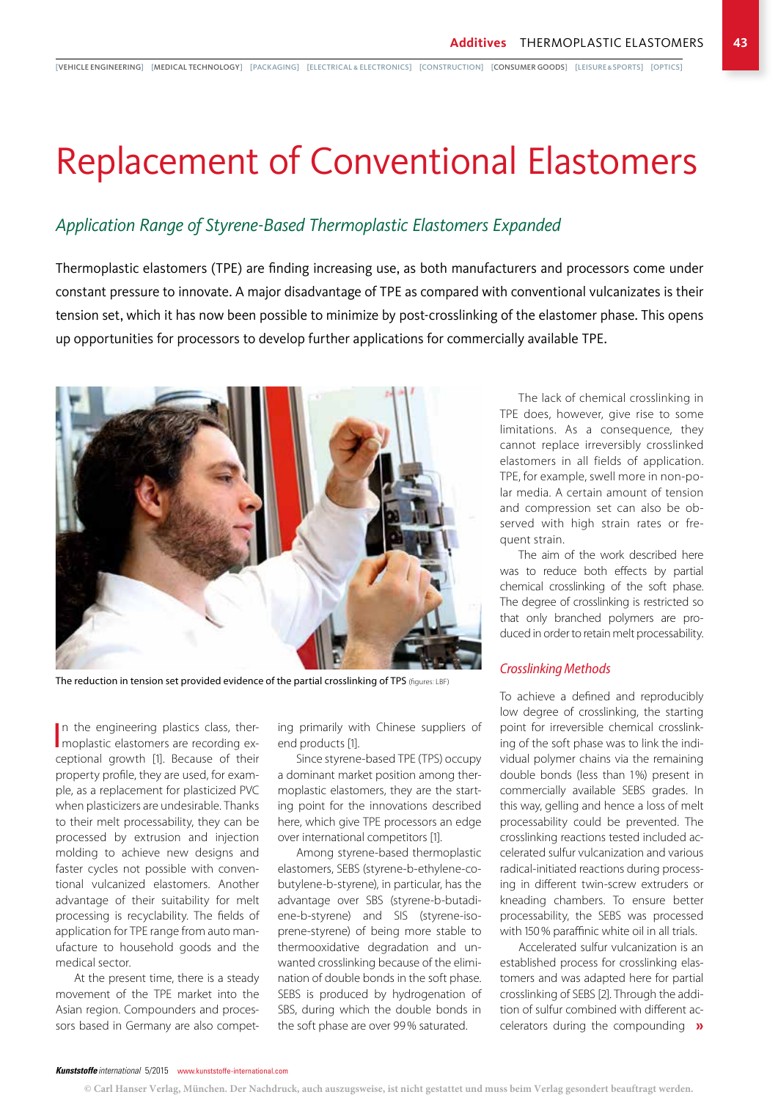[VEHICLE ENGINEERING] [MEDICAL TECHNOLOGY] [PACKAGING] [ELECTRICAL & ELECTRONICS] [CONSTRUCTION] [CONSUMER GOODS] [LEISURE&SPORTS] [OPTICS]

# Replacement of Conventional Elastomers

### *Application Range of Styrene-Based Thermoplastic Elastomers Expanded*

Thermoplastic elastomers (TPE) are finding increasing use, as both manufacturers and processors come under constant pressure to innovate. A major disadvantage of TPE as compared with conventional vulcanizates is their tension set, which it has now been possible to minimize by post-crosslinking of the elastomer phase. This opens up opportunities for processors to develop further applications for commercially available TPE.



The reduction in tension set provided evidence of the partial crosslinking of TPS (figures: LBF)

In the engineering plastics class, ther-<br>moplastic elastomers are recording exmoplastic elastomers are recording exceptional growth [1]. Because of their property profile, they are used, for example, as a replacement for plasticized PVC when plasticizers are undesirable. Thanks to their melt processability, they can be processed by extrusion and injection molding to achieve new designs and faster cycles not possible with conventional vulcanized elastomers. Another advantage of their suitability for melt processing is recyclability. The fields of application for TPE range from auto manufacture to household goods and the medical sector.

At the present time, there is a steady movement of the TPE market into the Asian region. Compounders and processors based in Germany are also competing primarily with Chinese suppliers of end products [1].

Since styrene-based TPE (TPS) occupy a dominant market position among thermoplastic elastomers, they are the starting point for the innovations described here, which give TPE processors an edge over international competitors [1].

Among styrene-based thermoplastic elastomers, SEBS (styrene-b-ethylene-cobutylene-b-styrene), in particular, has the advantage over SBS (styrene-b-butadiene-b-styrene) and SIS (styrene-isoprene-styrene) of being more stable to thermooxidative degradation and unwanted crosslinking because of the elimination of double bonds in the soft phase. SEBS is produced by hydrogenation of SBS, during which the double bonds in the soft phase are over 99% saturated.

The lack of chemical crosslinking in TPE does, however, give rise to some limitations. As a consequence, they cannot replace irreversibly crosslinked elastomers in all fields of application. TPE, for example, swell more in non-polar media. A certain amount of tension and compression set can also be observed with high strain rates or frequent strain.

The aim of the work described here was to reduce both effects by partial chemical crosslinking of the soft phase. The degree of crosslinking is restricted so that only branched polymers are produced in order to retain melt processability.

#### *Crosslinking Methods*

To achieve a defined and reproducibly low degree of crosslinking, the starting point for irreversible chemical crosslinking of the soft phase was to link the individual polymer chains via the remaining double bonds (less than 1%) present in commercially available SEBS grades. In this way, gelling and hence a loss of melt processability could be prevented. The crosslinking reactions tested included accelerated sulfur vulcanization and various radical-initiated reactions during processing in different twin-screw extruders or kneading chambers. To ensure better processability, the SEBS was processed with 150% paraffinic white oil in all trials.

Accelerated sulfur vulcanization is an established process for crosslinking elastomers and was adapted here for partial crosslinking of SEBS [2]. Through the addition of sulfur combined with different accelerators during the compounding »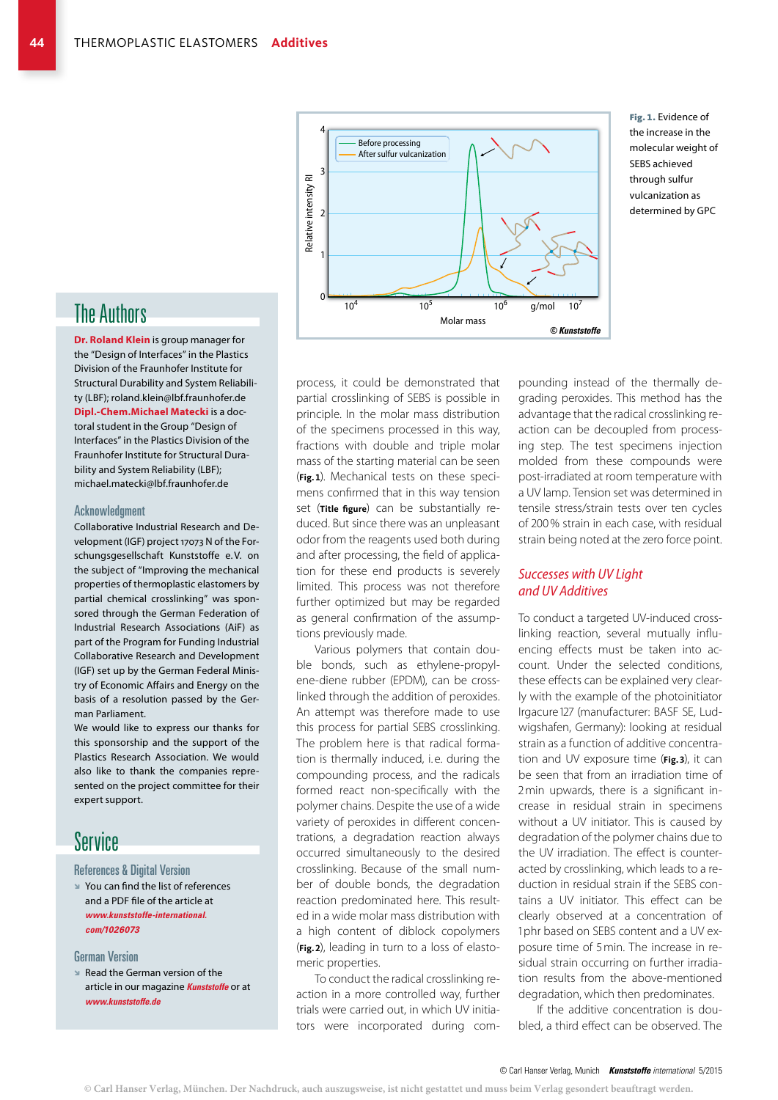

Fig. 1. Evidence of the increase in the molecular weight of SEBS achieved through sulfur vulcanization as determined by GPC

## The Authors

**Dr. Roland Klein** is group manager for the "Design of Interfaces" in the Plastics Division of the Fraunhofer Institute for Structural Durability and System Reliability (LBF); roland.klein@lbf.fraunhofer.de **Dipl.-Chem.Michael Matecki** is a doctoral student in the Group "Design of Interfaces" in the Plastics Division of the Fraunhofer Institute for Structural Durability and System Reliability (LBF); michael.matecki@lbf.fraunhofer.de

#### Acknowledgment

Collaborative Industrial Research and Development (IGF) project 17073 N of the Forschungsgesellschaft Kunststoffe e.V. on the subject of "Improving the mechanical properties of thermoplastic elastomers by partial chemical crosslinking" was sponsored through the German Federation of Industrial Research Associations (AiF) as part of the Program for Funding Industrial Collaborative Research and Development (IGF) set up by the German Federal Ministry of Economic Affairs and Energy on the basis of a resolution passed by the German Parliament.

We would like to express our thanks for this sponsorship and the support of the Plastics Research Association. We would also like to thank the companies represented on the project committee for their expert support.

## Service

References & Digital Version

B You can find the list of references and a PDF file of the article at *www.kunststoffe-international. com/1026073*

#### German Version

**B** Read the German version of the article in our magazine *Kunststoffe* or at *www.kunststoffe.de*

process, it could be demonstrated that partial crosslinking of SEBS is possible in principle. In the molar mass distribution of the specimens processed in this way, fractions with double and triple molar mass of the starting material can be seen (**Fig.1**). Mechanical tests on these specimens confirmed that in this way tension set (**Title figure**) can be substantially reduced. But since there was an unpleasant odor from the reagents used both during and after processing, the field of application for these end products is severely limited. This process was not therefore further optimized but may be regarded as general confirmation of the assumptions previously made.

Various polymers that contain double bonds, such as ethylene-propylene-diene rubber (EPDM), can be crosslinked through the addition of peroxides. An attempt was therefore made to use this process for partial SEBS crosslinking. The problem here is that radical formation is thermally induced, i. e. during the compounding process, and the radicals formed react non-specifically with the polymer chains. Despite the use of a wide variety of peroxides in different concentrations, a degradation reaction always occurred simultaneously to the desired crosslinking. Because of the small number of double bonds, the degradation reaction predominated here. This resulted in a wide molar mass distribution with a high content of diblock copolymers (**Fig.2**), leading in turn to a loss of elastomeric properties.

To conduct the radical crosslinking reaction in a more controlled way, further trials were carried out, in which UV initiators were incorporated during compounding instead of the thermally degrading peroxides. This method has the advantage that the radical crosslinking reaction can be decoupled from processing step. The test specimens injection molded from these compounds were post-irradiated at room temperature with a UV lamp. Tension set was determined in tensile stress/strain tests over ten cycles of 200% strain in each case, with residual strain being noted at the zero force point.

#### *Successes with UV Light and UV Additives*

To conduct a targeted UV-induced crosslinking reaction, several mutually influencing effects must be taken into account. Under the selected conditions, these effects can be explained very clearly with the example of the photoinitiator Irgacure 127 (manufacturer: BASF SE, Ludwigshafen, Germany): looking at residual strain as a function of additive concentration and UV exposure time (**Fig.3**), it can be seen that from an irradiation time of 2min upwards, there is a significant increase in residual strain in specimens without a UV initiator. This is caused by degradation of the polymer chains due to the UV irradiation. The effect is counteracted by crosslinking, which leads to a reduction in residual strain if the SEBS contains a UV initiator. This effect can be clearly observed at a concentration of 1phr based on SEBS content and a UV exposure time of 5min. The increase in residual strain occurring on further irradiation results from the above-mentioned degradation, which then predominates.

If the additive concentration is doubled, a third effect can be observed. The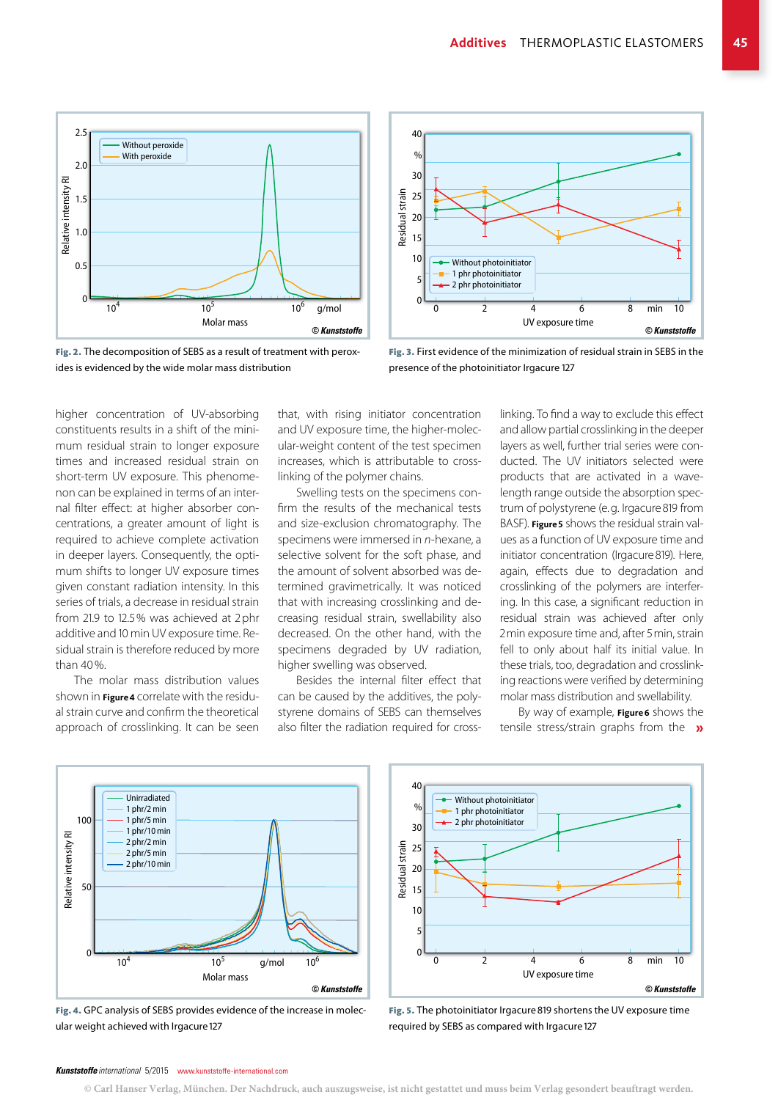





Fig. 3. First evidence of the minimization of residual strain in SEBS in the presence of the photoinitiator Irgacure 127

higher concentration of UV-absorbing constituents results in a shift of the minimum residual strain to longer exposure times and increased residual strain on short-term UV exposure. This phenomenon can be explained in terms of an internal filter effect: at higher absorber concentrations, a greater amount of light is required to achieve complete activation in deeper layers. Consequently, the optimum shifts to longer UV exposure times given constant radiation intensity. In this series of trials, a decrease in residual strain from 21.9 to 12.5% was achieved at 2phr additive and 10 min UV exposure time. Residual strain is therefore reduced by more than 40%.

The molar mass distribution values shown in **Figure4** correlate with the residual strain curve and confirm the theoretical approach of crosslinking. It can be seen that, with rising initiator concentration and UV exposure time, the higher-molecular-weight content of the test specimen increases, which is attributable to crosslinking of the polymer chains.

Swelling tests on the specimens confirm the results of the mechanical tests and size-exclusion chromatography. The specimens were immersed in *n*-hexane, a selective solvent for the soft phase, and the amount of solvent absorbed was determined gravimetrically. It was noticed that with increasing crosslinking and decreasing residual strain, swellability also decreased. On the other hand, with the specimens degraded by UV radiation, higher swelling was observed.

Besides the internal filter effect that can be caused by the additives, the polystyrene domains of SEBS can themselves also filter the radiation required for cross-

linking. To find a way to exclude this effect and allow partial crosslinking in the deeper layers as well, further trial series were conducted. The UV initiators selected were products that are activated in a wavelength range outside the absorption spectrum of polystyrene (e.g. Irgacure819 from BASF). **Figure5** shows the residual strain values as a function of UV exposure time and initiator concentration (Irgacure819). Here, again, effects due to degradation and crosslinking of the polymers are interfering. In this case, a significant reduction in residual strain was achieved after only 2min exposure time and, after 5min, strain fell to only about half its initial value. In these trials, too, degradation and crosslinking reactions were verified by determining molar mass distribution and swellability.

By way of example, **Figure6** shows the tensile stress/strain graphs from the »



Fig. 4. GPC analysis of SEBS provides evidence of the increase in molecular weight achieved with Irgacure 127



Fig. 5. The photoinitiator Irgacure819 shortens the UV exposure time required by SEBS as compared with Irgacure 127